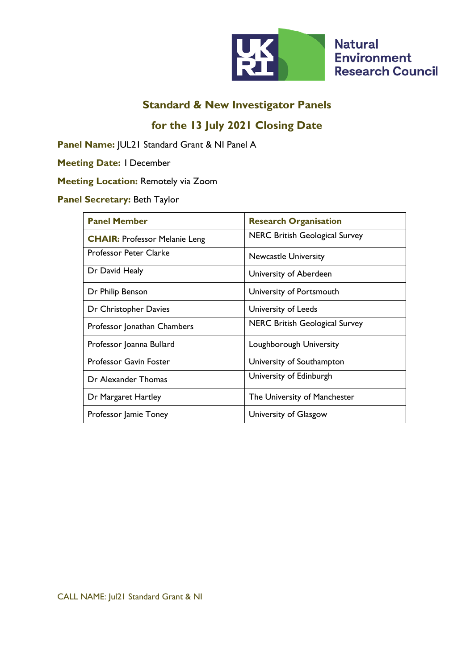

## **for the 13 July 2021 Closing Date**

**Panel Name:** JUL21 Standard Grant & NI Panel A

**Meeting Date:** 1 December

### **Meeting Location:** Remotely via Zoom

### **Panel Secretary:** Beth Taylor

| <b>Panel Member</b>                  | <b>Research Organisation</b>          |
|--------------------------------------|---------------------------------------|
| <b>CHAIR: Professor Melanie Leng</b> | <b>NERC British Geological Survey</b> |
| <b>Professor Peter Clarke</b>        | <b>Newcastle University</b>           |
| Dr David Healy                       | University of Aberdeen                |
| Dr Philip Benson                     | University of Portsmouth              |
| Dr Christopher Davies                | University of Leeds                   |
| Professor Jonathan Chambers          | <b>NERC British Geological Survey</b> |
| Professor Joanna Bullard             | Loughborough University               |
| <b>Professor Gavin Foster</b>        | University of Southampton             |
| Dr Alexander Thomas                  | University of Edinburgh               |
| Dr Margaret Hartley                  | The University of Manchester          |
| Professor Jamie Toney                | University of Glasgow                 |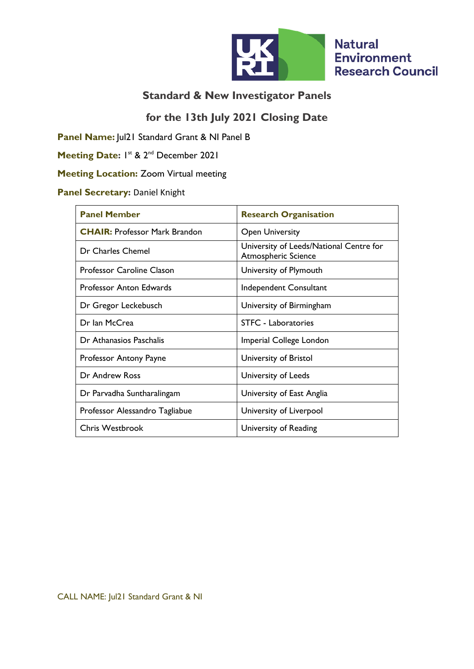

### **for the 13th July 2021 Closing Date**

**Panel Name:** Jul21 Standard Grant & NI Panel B

Meeting Date: I<sup>st</sup> & 2<sup>nd</sup> December 2021

## **Meeting Location:** Zoom Virtual meeting

### **Panel Secretary: Daniel Knight**

| <b>Panel Member</b>                  | <b>Research Organisation</b>                                          |
|--------------------------------------|-----------------------------------------------------------------------|
| <b>CHAIR: Professor Mark Brandon</b> | <b>Open University</b>                                                |
| Dr Charles Chemel                    | University of Leeds/National Centre for<br><b>Atmospheric Science</b> |
| <b>Professor Caroline Clason</b>     | University of Plymouth                                                |
| <b>Professor Anton Edwards</b>       | Independent Consultant                                                |
| Dr Gregor Leckebusch                 | University of Birmingham                                              |
| Dr Ian McCrea                        | <b>STFC - Laboratories</b>                                            |
| Dr Athanasios Paschalis              | Imperial College London                                               |
| Professor Antony Payne               | University of Bristol                                                 |
| Dr Andrew Ross                       | University of Leeds                                                   |
| Dr Parvadha Suntharalingam           | University of East Anglia                                             |
| Professor Alessandro Tagliabue       | University of Liverpool                                               |
| <b>Chris Westbrook</b>               | University of Reading                                                 |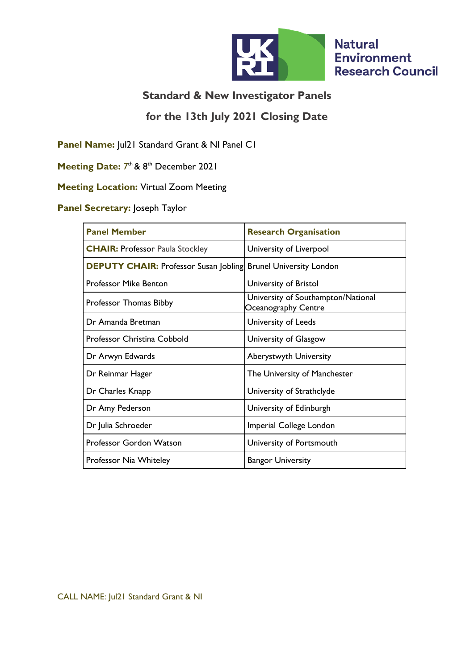

## **for the 13th July 2021 Closing Date**

**Panel Name:** Jul21 Standard Grant & NI Panel C1

Meeting Date: 7<sup>th</sup> & 8<sup>th</sup> December 2021

#### **Meeting Location:** Virtual Zoom Meeting

### **Panel Secretary:** Joseph Taylor

| <b>Panel Member</b>                                                   | <b>Research Organisation</b>                              |
|-----------------------------------------------------------------------|-----------------------------------------------------------|
| <b>CHAIR: Professor Paula Stockley</b>                                | University of Liverpool                                   |
| <b>DEPUTY CHAIR:</b> Professor Susan Jobling Brunel University London |                                                           |
| <b>Professor Mike Benton</b>                                          | University of Bristol                                     |
| Professor Thomas Bibby                                                | University of Southampton/National<br>Oceanography Centre |
| Dr Amanda Bretman                                                     | University of Leeds                                       |
| <b>Professor Christina Cobbold</b>                                    | University of Glasgow                                     |
| Dr Arwyn Edwards                                                      | Aberystwyth University                                    |
| Dr Reinmar Hager                                                      | The University of Manchester                              |
| Dr Charles Knapp                                                      | University of Strathclyde                                 |
| Dr Amy Pederson                                                       | University of Edinburgh                                   |
| Dr Julia Schroeder                                                    | Imperial College London                                   |
| Professor Gordon Watson                                               | University of Portsmouth                                  |
| Professor Nia Whiteley                                                | <b>Bangor University</b>                                  |